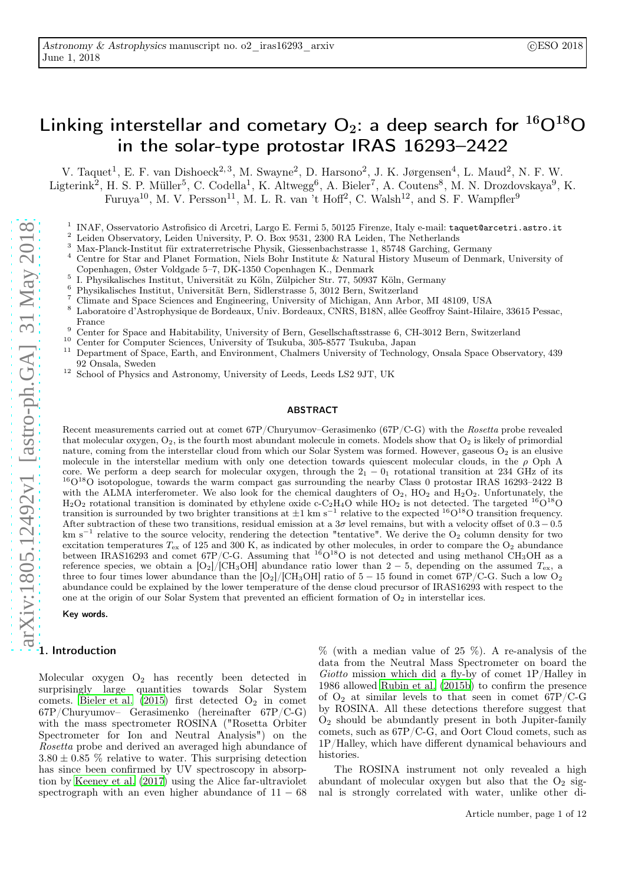# Linking interstellar and cometary  $O_2$ : a deep search for  ${}^{16}O{}^{18}O$ in the solar-type protostar IRAS 16293–2422

V. Taquet<sup>1</sup>, E. F. van Dishoeck<sup>2, 3</sup>, M. Swayne<sup>2</sup>, D. Harsono<sup>2</sup>, J. K. Jørgensen<sup>4</sup>, L. Maud<sup>2</sup>, N. F. W. Ligterink<sup>2</sup>, H. S. P. Müller<sup>5</sup>, C. Codella<sup>1</sup>, K. Altwegg<sup>6</sup>, A. Bieler<sup>7</sup>, A. Coutens<sup>8</sup>, M. N. Drozdovskaya<sup>9</sup>, K. Furuya<sup>10</sup>, M. V. Persson<sup>11</sup>, M. L. R. van 't Hoff<sup>2</sup>, C. Walsh<sup>12</sup>, and S. F. Wampfler<sup>9</sup>

- 1 INAF, Osservatorio Astrofisico di Arcetri, Largo E. Fermi 5, 50125 Firenze, Italy e-mail: taquet@arcetri.astro.it
- <sup>2</sup> Leiden Observatory, Leiden University, P. O. Box 9531, 2300 RA Leiden, The Netherlands
- <sup>3</sup> Max-Planck-Institut für extraterretrische Physik, Giessenbachstrasse 1, 85748 Garching, Germany
- <sup>4</sup> Centre for Star and Planet Formation, Niels Bohr Institute & Natural History Museum of Denmark, University of Copenhagen, Øster Voldgade 5–7, DK-1350 Copenhagen K., Denmark
- 5 I. Physikalisches Institut, Universität zu Köln, Zülpicher Str. 77, 50937 Köln, Germany
- <sup>6</sup> Physikalisches Institut, Universität Bern, Sidlerstrasse 5, 3012 Bern, Switzerland
- <sup>7</sup> Climate and Space Sciences and Engineering, University of Michigan, Ann Arbor, MI 48109, USA  $^{8}$  Lakentsing is Actual produces the Dandama Union Bandama CNBS, B19N all is Coefficient Union
- <sup>8</sup> Laboratoire d'Astrophysique de Bordeaux, Univ. Bordeaux, CNRS, B18N, allée Geoffroy Saint-Hilaire, 33615 Pessac, France
- <sup>9</sup> Center for Space and Habitability, University of Bern, Gesellschaftsstrasse 6, CH-3012 Bern, Switzerland
- <sup>10</sup> Center for Computer Sciences, University of Tsukuba, 305-8577 Tsukuba, Japan
- <sup>11</sup> Department of Space, Earth, and Environment, Chalmers University of Technology, Onsala Space Observatory, 439 92 Onsala, Sweden
- <sup>12</sup> School of Physics and Astronomy, University of Leeds, Leeds LS2 9JT, UK

#### ABSTRACT

Recent measurements carried out at comet 67P/Churyumov–Gerasimenko (67P/C-G) with the Rosetta probe revealed that molecular oxygen,  $O_2$ , is the fourth most abundant molecule in comets. Models show that  $O_2$  is likely of primordial nature, coming from the interstellar cloud from which our Solar System was formed. However, gaseous  $O_2$  is an elusive molecule in the interstellar medium with only one detection towards quiescent molecular clouds, in the  $\rho$  Oph A core. We perform a deep search for molecular oxygen, through the  $2<sub>1</sub> - 0<sub>1</sub>$  rotational transition at 234 GHz of its <sup>16</sup>O<sup>18</sup>O isotopologue, towards the warm compact gas surrounding the nearby Class 0 protostar IRAS 16293-2422 B with the ALMA interferometer. We also look for the chemical daughters of  $O_2$ ,  $HO_2$  and  $H_2O_2$ . Unfortunately, the  $H_2O_2$  rotational transition is dominated by ethylene oxide c-C<sub>2</sub>H<sub>4</sub>O while HO<sub>2</sub> is not detected. The targeted <sup>16</sup>O<sup>18</sup>O transition is surrounded by two brighter transitions at  $\pm 1$  km s<sup>-1</sup> relative to the expected <sup>16</sup>O<sup>18</sup>O transition frequency. After subtraction of these two transitions, residual emission at a  $3\sigma$  level remains, but with a velocity offset of  $0.3-0.5$ km s<sup>-1</sup> relative to the source velocity, rendering the detection "tentative". We derive the O<sub>2</sub> column density for two excitation temperatures  $T_{ex}$  of 125 and 300 K, as indicated by other molecules, in order to compare the  $O_2$  abundance between IRAS16293 and comet  $67P/C-G$ . Assuming that  $16O^{18}O$  is not detected and using methanol CH<sub>3</sub>OH as a reference species, we obtain a  $[O_2]/[CH_3OH]$  abundance ratio lower than 2 – 5, depending on the assumed  $T_{ex}$ , a three to four times lower abundance than the  $[O_2]/[CH_3OH]$  ratio of 5 – 15 found in comet 67P/C-G. Such a low  $O_2$ abundance could be explained by the lower temperature of the dense cloud precursor of IRAS16293 with respect to the one at the origin of our Solar System that prevented an efficient formation of  $O<sub>2</sub>$  in interstellar ices.

Key words.

### 1. Introduction

Molecular oxygen  $O_2$  has recently been detected in surprisingly large quantities towards Solar System comets. Bieler et al.  $(2015)$  first detected  $O_2$  in comet 67P/Churyumov– Gerasimenko (hereinafter 67P/C-G) with the mass spectrometer ROSINA ("Rosetta Orbiter Spectrometer for Ion and Neutral Analysis") on the Rosetta probe and derived an averaged high abundance of  $3.80 \pm 0.85$  % relative to water. This surprising detection has since been confirmed by UV spectroscopy in absorption by [Keeney et al. \(2017\)](#page-6-1) using the Alice far-ultraviolet spectrograph with an even higher abundance of  $11 - 68$  % (with a median value of 25 %). A re-analysis of the data from the Neutral Mass Spectrometer on board the Giotto mission which did a fly-by of comet 1P/Halley in 1986 allowed [Rubin et al. \(2015b\)](#page-6-2) to confirm the presence of  $O_2$  at similar levels to that seen in comet 67P/C-G by ROSINA. All these detections therefore suggest that O<sup>2</sup> should be abundantly present in both Jupiter-family comets, such as 67P/C-G, and Oort Cloud comets, such as 1P/Halley, which have different dynamical behaviours and histories.

The ROSINA instrument not only revealed a high abundant of molecular oxygen but also that the  $O_2$  signal is strongly correlated with water, unlike other di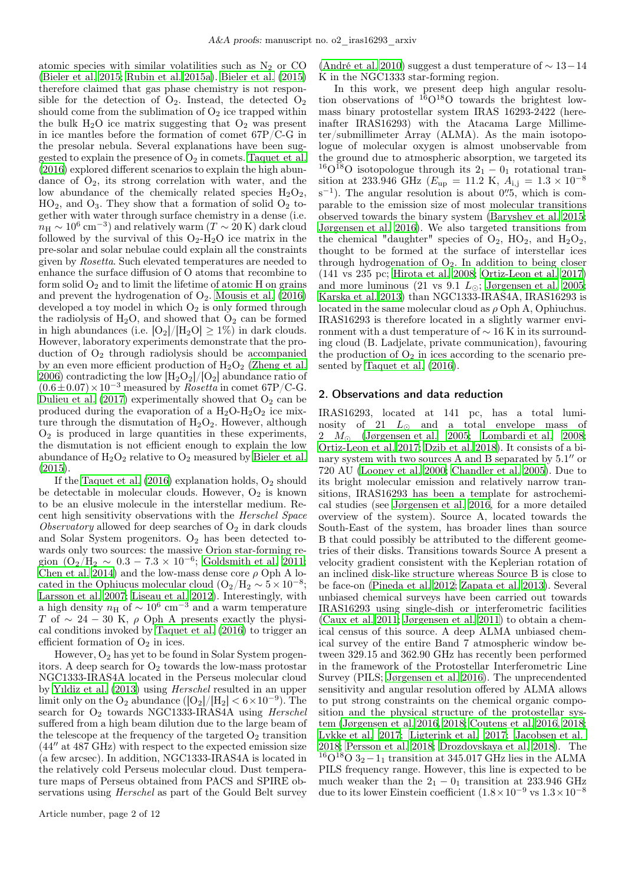atomic species with similar volatilities such as  $N_2$  or CO [\(Bieler et al. 2015;](#page-6-0) [Rubin et al. 2015a\)](#page-6-3). [Bieler et al. \(2015](#page-6-0)) therefore claimed that gas phase chemistry is not responsible for the detection of  $O_2$ . Instead, the detected  $O_2$ should come from the sublimation of  $O<sub>2</sub>$  ice trapped within the bulk  $H_2O$  ice matrix suggesting that  $O_2$  was present in ice mantles before the formation of comet 67P/C-G in the presolar nebula. Several explanations have been suggested to explain the presence of  $O_2$  in comets. [Taquet et al.](#page-6-4) [\(2016\)](#page-6-4) explored different scenarios to explain the high abundance of  $O_2$ , its strong correlation with water, and the low abundance of the chemically related species  $H_2O_2$ ,  $HO<sub>2</sub>$ , and  $O<sub>3</sub>$ . They show that a formation of solid  $O<sub>2</sub>$  together with water through surface chemistry in a dense (i.e.  $m_{\rm H} \sim 10^6\,{\rm cm^{-3}}$ ) and relatively warm ( $T \sim 20\,{\rm K}$ ) dark cloud followed by the survival of this  $O_2-H_2O$  ice matrix in the pre-solar and solar nebulae could explain all the constraints given by Rosetta. Such elevated temperatures are needed to enhance the surface diffusion of O atoms that recombine to form solid  $O_2$  and to limit the lifetime of atomic H on grains and prevent the hydrogenation of  $O_2$ . [Mousis et al. \(2016](#page-6-5)) developed a toy model in which  $O_2$  is only formed through the radiolysis of  $H_2O$ , and showed that  $O_2$  can be formed in high abundances (i.e.  $[O_2]/[H_2O] \geq 1\%$ ) in dark clouds. However, laboratory experiments demonstrate that the production of  $O_2$  through radiolysis should be accompanied by an even more efficient production of  $H_2O_2$  [\(Zheng et al.](#page-6-6) [2006\)](#page-6-6) contradicting the low  $[H_2O_2]/[O_2]$  abundance ratio of  $(0.6\pm0.07)\times10^{-3}$  measured by *Rosetta* in comet 67P/C-G. Dulieu et al.  $(2017)$  experimentally showed that  $O<sub>2</sub>$  can be produced during the evaporation of a  $H_2O-H_2O_2$  ice mixture through the dismutation of  $H_2O_2$ . However, although  $O<sub>2</sub>$  is produced in large quantities in these experiments, the dismutation is not efficient enough to explain the low abundance of  $H_2O_2$  relative to  $O_2$  measured by [Bieler et al.](#page-6-0) [\(2015\)](#page-6-0).

If the Taquet et al.  $(2016)$  explanation holds,  $O<sub>2</sub>$  should be detectable in molecular clouds. However,  $O_2$  is known to be an elusive molecule in the interstellar medium. Recent high sensitivity observations with the Herschel Space Observatory allowed for deep searches of  $O_2$  in dark clouds and Solar System progenitors.  $O_2$  has been detected towards only two sources: the massive Orion star-forming region  $(O_2/H_2 \sim 0.3 - 7.3 \times 10^{-6}$ ; [Goldsmith et al. 2011](#page-6-8); [Chen et al. 2014\)](#page-6-9) and the low-mass dense core  $\rho$  Oph A located in the Ophiucus molecular cloud  $(O_2/H_2 \sim 5 \times 10^{-8};$ [Larsson et al. 2007;](#page-6-10) [Liseau et al. 2012\)](#page-6-11). Interestingly, with a high density  $n_H$  of  $\sim 10^6$  cm<sup>-3</sup> and a warm temperature T of  $\sim 24 - 30$  K,  $\rho$  Oph A presents exactly the physical conditions invoked by [Taquet et al. \(2016](#page-6-4)) to trigger an efficient formation of  $O_2$  in ices.

However,  $O_2$  has yet to be found in Solar System progenitors. A deep search for  $O_2$  towards the low-mass protostar NGC1333-IRAS4A located in the Perseus molecular cloud by [Yıldiz et al. \(2013](#page-6-12)) using Herschel resulted in an upper limit only on the O<sub>2</sub> abundance  $([O_2]/[H_2] < 6 \times 10^{-9})$ . The search for  $O_2$  towards NGC1333-IRAS4A using Herschel suffered from a high beam dilution due to the large beam of the telescope at the frequency of the targeted  $O_2$  transition  $(44''$  at  $487$  GHz) with respect to the expected emission size (a few arcsec). In addition, NGC1333-IRAS4A is located in the relatively cold Perseus molecular cloud. Dust temperature maps of Perseus obtained from PACS and SPIRE observations using Herschel as part of the Gould Belt survey

[\(André et al. 2010](#page-6-13)) suggest a dust temperature of  $\sim 13-14$ K in the NGC1333 star-forming region.

In this work, we present deep high angular resolution observations of  $^{16}O^{18}O$  towards the brightest lowmass binary protostellar system IRAS 16293-2422 (hereinafter IRAS16293) with the Atacama Large Millimeter/submillimeter Array (ALMA). As the main isotopologue of molecular oxygen is almost unobservable from the ground due to atmospheric absorption, we targeted its <sup>16</sup>O<sup>18</sup>O isotopologue through its 2<sub>1</sub> − 0<sub>1</sub> rotational transition at 233.946 GHz ( $E_{\rm up} = 11.2$  K,  $A_{\rm i,j} = 1.3 \times 10^{-8}$  $s^{-1}$ ). The angular resolution is about 0''.5, which is comparable to the emission size of most molecular transitions observed towards the binary system [\(Baryshev et al. 2015;](#page-6-14) [Jørgensen et al. 2016](#page-6-15)). We also targeted transitions from the chemical "daughter" species of  $O_2$ ,  $HO_2$ , and  $H_2O_2$ , thought to be formed at the surface of interstellar ices through hydrogenation of  $O_2$ . In addition to being closer (141 vs 235 pc; [Hirota et al. 2008;](#page-6-16) [Ortiz-Leon et al. 2017\)](#page-6-17) and more luminous (21 vs 9.1  $L_{\odot}$ ; [Jørgensen et al. 2005;](#page-6-18) [Karska et al. 2013\)](#page-6-19) than NGC1333-IRAS4A, IRAS16293 is located in the same molecular cloud as  $\rho$  Oph A, Ophiuchus. IRAS16293 is therefore located in a slightly warmer environment with a dust temperature of  $\sim$  16 K in its surrounding cloud (B. Ladjelate, private communication), favouring the production of  $O_2$  in ices according to the scenario presented by [Taquet et al. \(2016\)](#page-6-4).

### 2. Observations and data reduction

IRAS16293, located at 141 pc, has a total luminosity of 21  $L_{\odot}$  and a total envelope mass of  $2 M_{\odot}$  [\(Jørgensen et al. 2005](#page-6-18); [Lombardi et al. 2008;](#page-6-20) [Ortiz-Leon et al. 2017;](#page-6-17) [Dzib et al. 2018\)](#page-6-21). It consists of a binary system with two sources A and B separated by 5.1′′ or 720 AU [\(Looney et al. 2000;](#page-6-22) [Chandler et al. 2005\)](#page-6-23). Due to its bright molecular emission and relatively narrow transitions, IRAS16293 has been a template for astrochemical studies (see [Jørgensen et al. 2016,](#page-6-15) for a more detailed overview of the system). Source A, located towards the South-East of the system, has broader lines than source B that could possibly be attributed to the different geometries of their disks. Transitions towards Source A present a velocity gradient consistent with the Keplerian rotation of an inclined disk-like structure whereas Source B is close to be face-on [\(Pineda et al. 2012;](#page-6-24) [Zapata et al. 2013\)](#page-6-25). Several unbiased chemical surveys have been carried out towards IRAS16293 using single-dish or interferometric facilities [\(Caux et al. 2011;](#page-6-26) [Jørgensen et al. 2011\)](#page-6-27) to obtain a chemical census of this source. A deep ALMA unbiased chemical survey of the entire Band 7 atmospheric window between 329.15 and 362.90 GHz has recently been performed in the framework of the Protostellar Interferometric Line Survey (PILS; [Jørgensen et al. 2016\)](#page-6-15). The unprecendented sensitivity and angular resolution offered by ALMA allows to put strong constraints on the chemical organic composition and the physical structure of the protostellar system [\(Jørgensen et al. 2016,](#page-6-15) [2018;](#page-6-28) [Coutens et al. 2016,](#page-6-29) [2018;](#page-6-30) [Lykke et al. 2017](#page-6-31); [Ligterink et al. 2017;](#page-6-32) [Jacobsen et al.](#page-6-33) [2018;](#page-6-33) [Persson et al. 2018;](#page-6-34) [Drozdovskaya et al. 2018\)](#page-6-35). The <sup>16</sup>O<sup>18</sup>O 3<sub>2</sub> − 1<sub>1</sub> transition at 345.017 GHz lies in the ALMA PILS frequency range. However, this line is expected to be much weaker than the  $2_1 - 0_1$  transition at 233.946 GHz due to its lower Einstein coefficient  $(1.8 \times 10^{-9} \text{ vs } 1.3 \times 10^{-8}$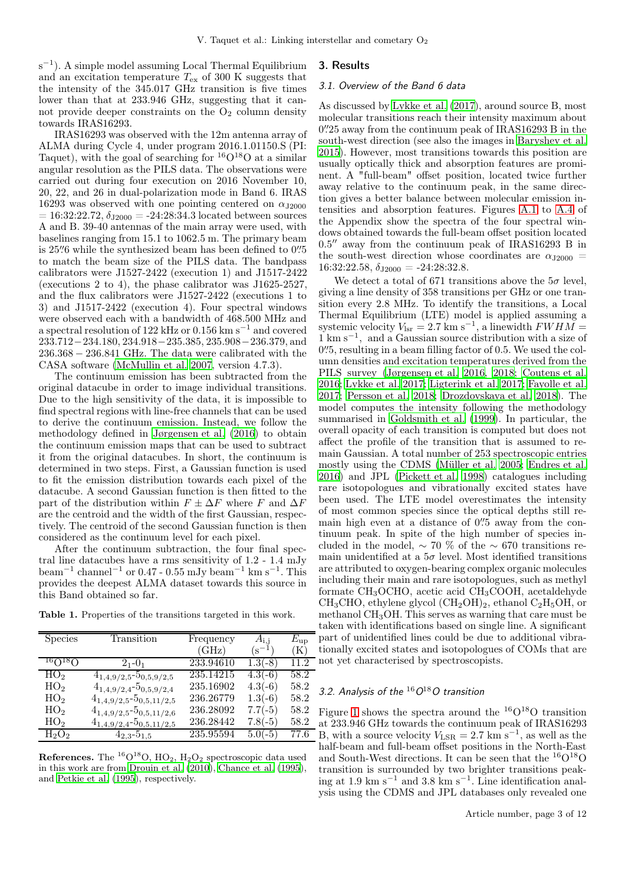s<sup>-1</sup>). A simple model assuming Local Thermal Equilibrium and an excitation temperature  $T_{\text{ex}}$  of 300 K suggests that the intensity of the 345.017 GHz transition is five times lower than that at 233.946 GHz, suggesting that it cannot provide deeper constraints on the  $O<sub>2</sub>$  column density towards IRAS16293.

IRAS16293 was observed with the 12m antenna array of ALMA during Cycle 4, under program 2016.1.01150.S (PI: Taquet), with the goal of searching for  ${}^{16}O_{}^{18}O$  at a similar angular resolution as the PILS data. The observations were carried out during four execution on 2016 November 10, 20, 22, and 26 in dual-polarization mode in Band 6. IRAS 16293 was observed with one pointing centered on  $\alpha_{J2000}$  $= 16:32:22.72, \delta_{J2000} = -24:28:34.3$  located between sources A and B. 39-40 antennas of the main array were used, with baselines ranging from 15.1 to 1062.5 m. The primary beam is 25" 6 while the synthesized beam has been defined to 0".5" to match the beam size of the PILS data. The bandpass calibrators were J1527-2422 (execution 1) and J1517-2422 (executions 2 to 4), the phase calibrator was J1625-2527, and the flux calibrators were J1527-2422 (executions 1 to 3) and J1517-2422 (execution 4). Four spectral windows were observed each with a bandwidth of 468.500 MHz and a spectral resolution of 122 kHz or 0.156 km s−<sup>1</sup> and covered 233.712−234.180, 234.918−235.385, 235.908−236.379, and 236.368 − 236.841 GHz. The data were calibrated with the CASA software [\(McMullin et al. 2007,](#page-6-36) version 4.7.3).

The continuum emission has been subtracted from the original datacube in order to image individual transitions. Due to the high sensitivity of the data, it is impossible to find spectral regions with line-free channels that can be used to derive the continuum emission. Instead, we follow the methodology defined in [Jørgensen et al. \(2016\)](#page-6-15) to obtain the continuum emission maps that can be used to subtract it from the original datacubes. In short, the continuum is determined in two steps. First, a Gaussian function is used to fit the emission distribution towards each pixel of the datacube. A second Gaussian function is then fitted to the part of the distribution within  $F \pm \Delta F$  where F and  $\Delta F$ are the centroid and the width of the first Gaussian, respectively. The centroid of the second Gaussian function is then considered as the continuum level for each pixel.

After the continuum subtraction, the four final spectral line datacubes have a rms sensitivity of 1.2 - 1.4 mJy beam<sup>-1</sup> channel<sup>-1</sup> or 0.47 - 0.55 mJy beam<sup>-1</sup> km s<sup>-1</sup>. This provides the deepest ALMA dataset towards this source in this Band obtained so far.

Table 1. Properties of the transitions targeted in this work.

| <b>Species</b>  | Transition                               | Frequency | $A_{\rm i.i}$ | $E_{\rm up}$   |
|-----------------|------------------------------------------|-----------|---------------|----------------|
|                 |                                          | (GHz)     | $\rm (s^{-1}$ | $(\mathrm{K})$ |
| $160^{18}$ O    | $2_{1} - 0_{1}$                          | 233.94610 | $1.3(-8)$     | 11.2           |
| HO <sub>2</sub> | $4_{1,4,9/2,5}$ -5 <sub>0,5,9/2,5</sub>  | 235.14215 | $4.3(-6)$     | 58.2           |
| HO <sub>2</sub> | $4_{1,4,9/2,4}$ -5 <sub>0,5,9</sub> /2,4 | 235.16902 | $4.3(-6)$     | 58.2           |
| HO <sub>2</sub> | $4_{1,4,9/2,5}$ -5 <sub>0,5,11/2,5</sub> | 236.26779 | $1.3(-6)$     | 58.2           |
| HO <sub>2</sub> | $4_{1,4,9/2,5}$ -5 <sub>0,5,11/2,6</sub> | 236.28092 | $7.7(-5)$     | 58.2           |
| HO <sub>2</sub> | $4_{1,4,9/2,4}$ -5 <sub>0,5,11/2,5</sub> | 236.28442 | $7.8(-5)$     | 58.2           |
| $H_2O_2$        | $4_{2,3} - 5_{1,5}$                      | 235.95594 | $5.0(-5)$     | 77.6           |

**References.** The <sup>16</sup>O<sup>18</sup>O, HO<sub>2</sub>, H<sub>2</sub>O<sub>2</sub> spectroscopic data used in this work are from [Drouin et al. \(2010](#page-6-37)), [Chance et al. \(1995\)](#page-6-38), and [Petkie et al. \(1995](#page-6-39)), respectively.

### <span id="page-2-0"></span>3. Results

### 3.1. Overview of the Band 6 data

As discussed by [Lykke et al. \(2017\)](#page-6-31), around source B, most molecular transitions reach their intensity maximum about 0"<br/>25 away from the continuum peak of IRAS16293 B in the south-west direction (see also the images in [Baryshev et al.](#page-6-14) [2015\)](#page-6-14). However, most transitions towards this position are usually optically thick and absorption features are prominent. A "full-beam" offset position, located twice further away relative to the continuum peak, in the same direction gives a better balance between molecular emission intensities and absorption features. Figures [A.1](#page-8-0) to [A.4](#page-11-0) of the Appendix show the spectra of the four spectral windows obtained towards the full-beam offset position located 0.5′′ away from the continuum peak of IRAS16293 B in the south-west direction whose coordinates are  $\alpha_{12000}$  =  $16:32:22.58, \delta_{J2000} = -24:28:32.8$ 

We detect a total of 671 transitions above the  $5\sigma$  level, giving a line density of 358 transitions per GHz or one transition every 2.8 MHz. To identify the transitions, a Local Thermal Equilibrium (LTE) model is applied assuming a systemic velocity  $V_{\text{lsr}} = 2.7 \text{ km s}^{-1}$ , a linewidth  $FWHM =$ 1 km s−<sup>1</sup> , and a Gaussian source distribution with a size of 0".5, resulting in a beam filling factor of 0.5. We used the column densities and excitation temperatures derived from the PILS survey [\(Jørgensen et al. 2016,](#page-6-15) [2018;](#page-6-28) [Coutens et al.](#page-6-29) [2016;](#page-6-29) [Lykke et al. 2017;](#page-6-31) [Ligterink et al. 2017](#page-6-32); [Fayolle et al.](#page-6-40) [2017;](#page-6-40) [Persson et al. 2018;](#page-6-34) [Drozdovskaya et al. 2018](#page-6-35)). The model computes the intensity following the methodology summarised in [Goldsmith et al. \(1999\)](#page-6-41). In particular, the overall opacity of each transition is computed but does not affect the profile of the transition that is assumed to remain Gaussian. A total number of 253 spectroscopic entries mostly using the CDMS [\(Müller et al. 2005](#page-6-42); [Endres et al.](#page-6-43) [2016\)](#page-6-43) and JPL [\(Pickett et al. 1998\)](#page-6-44) catalogues including rare isotopologues and vibrationally excited states have been used. The LTE model overestimates the intensity of most common species since the optical depths still remain high even at a distance of  $0\rlap{.}^{\prime\prime}5$  away from the continuum peak. In spite of the high number of species included in the model,  $\sim 70\%$  of the  $\sim 670$  transitions remain unidentified at a  $5\sigma$  level. Most identified transitions are attributed to oxygen-bearing complex organic molecules including their main and rare isotopologues, such as methyl formate CH3OCHO, acetic acid CH3COOH, acetaldehyde  $CH<sub>3</sub>CHO$ , ethylene glycol  $(CH<sub>2</sub>OH)<sub>2</sub>$ , ethanol  $C<sub>2</sub>H<sub>5</sub>OH$ , or methanol  $CH<sub>3</sub>OH$ . This serves as warning that care must be taken with identifications based on single line. A significant part of unidentified lines could be due to additional vibrationally excited states and isotopologues of COMs that are not yet characterised by spectroscopists.

### 3.2. Analysis of the  ${}^{16}O^{18}O$  transition

Figure [1](#page-4-0) shows the spectra around the  ${}^{16}O^{18}O$  transition at 233.946 GHz towards the continuum peak of IRAS16293 B, with a source velocity  $V_{\text{LSR}} = 2.7 \text{ km s}^{-1}$ , as well as the half-beam and full-beam offset positions in the North-East and South-West directions. It can be seen that the  ${}^{16}O{}^{18}O$ transition is surrounded by two brighter transitions peaking at 1.9 km s<sup>−</sup><sup>1</sup> and 3.8 km s<sup>−</sup><sup>1</sup> . Line identification analysis using the CDMS and JPL databases only revealed one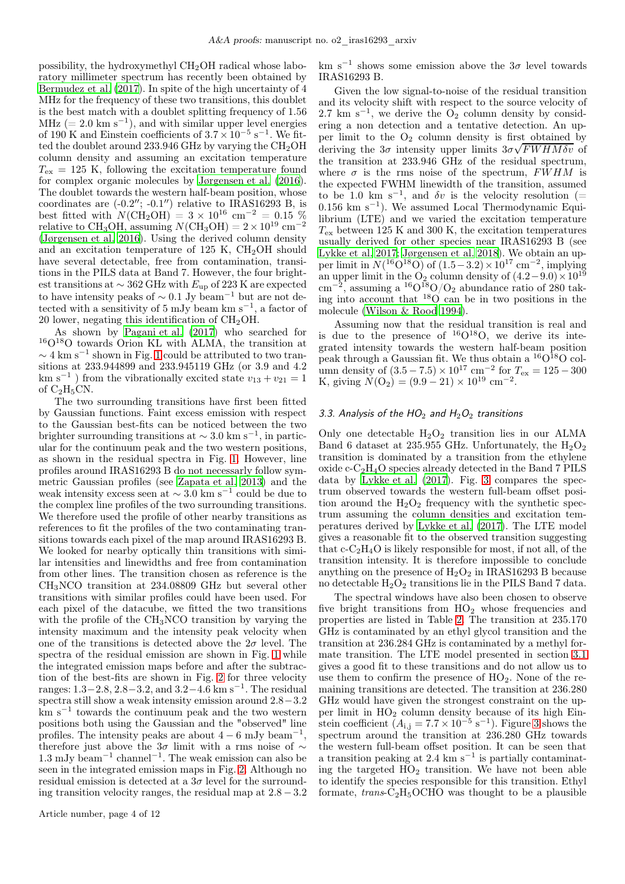possibility, the hydroxymethyl  $CH<sub>2</sub>OH$  radical whose laboratory millimeter spectrum has recently been obtained by [Bermudez et al. \(2017\)](#page-6-45). In spite of the high uncertainty of 4 MHz for the frequency of these two transitions, this doublet is the best match with a doublet splitting frequency of  $1.56$ MHz (=  $2.0 \text{ km s}^{-1}$ ), and with similar upper level energies of 190 K and Einstein coefficients of  $3.7 \times 10^{-5}$  s<sup>-1</sup>. We fitted the doublet around 233.946 GHz by varying the  $CH_2OH$ column density and assuming an excitation temperature  $T_{\rm ex}$  = 125 K, following the excitation temperature found for complex organic molecules by [Jørgensen et al. \(2016](#page-6-15)). The doublet towards the western half-beam position, whose coordinates are  $(-0.2'$ ;  $-0.1'$ ) relative to IRAS16293 B, is best fitted with  $N(\text{CH}_2\text{OH}) = 3 \times 10^{16} \text{ cm}^{-2} = 0.15 \%$ relative to CH<sub>3</sub>OH, assuming  $N(\text{CH}_3\text{OH}) = 2 \times 10^{19} \text{ cm}^{-2}$ [\(Jørgensen et al. 2016\)](#page-6-15). Using the derived column density and an excitation temperature of 125 K,  $CH<sub>2</sub>OH$  should have several detectable, free from contamination, transitions in the PILS data at Band 7. However, the four brightest transitions at  $\sim$  362 GHz with  $E_{\text{up}}$  of 223 K are expected to have intensity peaks of  $\sim$  0.1 Jy beam<sup>-1</sup> but are not detected with a sensitivity of 5 mJy beam km s−<sup>1</sup> , a factor of 20 lower, negating this identification of CH2OH.

As shown by [Pagani et al. \(2017\)](#page-6-46) who searched for <sup>16</sup>O18O towards Orion KL with ALMA, the transition at  $\sim$  4 km s<sup>-1</sup> shown in Fig. [1](#page-4-0) could be attributed to two transitions at 233.944899 and 233.945119 GHz (or 3.9 and 4.2 km s<sup>-1</sup>) from the vibrationally excited state  $v_{13} + v_{21} = 1$ of  $C_2H_5CN$ .

The two surrounding transitions have first been fitted by Gaussian functions. Faint excess emission with respect to the Gaussian best-fits can be noticed between the two brighter surrounding transitions at  $\sim 3.0 \text{ km s}^{-1}$ , in particular for the continuum peak and the two western positions, as shown in the residual spectra in Fig. [1.](#page-4-0) However, line profiles around IRAS16293 B do not necessarly follow symmetric Gaussian profiles (see [Zapata et al. 2013\)](#page-6-25) and the weak intensity excess seen at  $\sim 3.0 \text{ km s}^{-1}$  could be due to the complex line profiles of the two surrounding transitions. We therefore used the profile of other nearby transitions as references to fit the profiles of the two contaminating transitions towards each pixel of the map around IRAS16293 B. We looked for nearby optically thin transitions with similar intensities and linewidths and free from contamination from other lines. The transition chosen as reference is the CH3NCO transition at 234.08809 GHz but several other transitions with similar profiles could have been used. For each pixel of the datacube, we fitted the two transitions with the profile of the CH3NCO transition by varying the intensity maximum and the intensity peak velocity when one of the transitions is detected above the  $2\sigma$  level. The spectra of the residual emission are shown in Fig. [1](#page-4-0) while the integrated emission maps before and after the subtraction of the best-fits are shown in Fig. [2](#page-4-1) for three velocity ranges: <sup>1</sup>.3−2.8, <sup>2</sup>.8−3.2, and <sup>3</sup>.2−4.<sup>6</sup> km s−<sup>1</sup> . The residual spectra still show a weak intensity emission around 2.8−3.2 km s−<sup>1</sup> towards the continuum peak and the two western positions both using the Gaussian and the "observed" line profiles. The intensity peaks are about  $4 - 6$  mJy beam<sup>-1</sup>, therefore just above the  $3σ$  limit with a rms noise of ∼ 1.3 mJy beam<sup>−</sup><sup>1</sup> channel<sup>−</sup><sup>1</sup> . The weak emission can also be seen in the integrated emission maps in Fig. [2.](#page-4-1) Although no residual emission is detected at a  $3\sigma$  level for the surrounding transition velocity ranges, the residual map at  $2.8 - 3.2$ 

km s<sup>-1</sup> shows some emission above the  $3\sigma$  level towards IRAS16293 B.

Given the low signal-to-noise of the residual transition and its velocity shift with respect to the source velocity of 2.7 km s<sup>-1</sup>, we derive the  $\overline{O}_2$  column density by considering a non detection and a tentative detection. An upper limit to the  $O_2$  column density is first obtained by deriving the  $3\sigma$  intensity upper limits  $3\sigma\sqrt{FWHM\delta v}$  of the transition at 233.946 GHz of the residual spectrum, where  $\sigma$  is the rms noise of the spectrum, FWHM is the expected FWHM linewidth of the transition, assumed to be 1.0 km s<sup>-1</sup>, and  $\delta v$  is the velocity resolution (= 0.156 km s−<sup>1</sup> ). We assumed Local Thermodynamic Equilibrium (LTE) and we varied the excitation temperature  $T_{\text{ex}}$  between 125 K and 300 K, the excitation temperatures usually derived for other species near IRAS16293 B (see [Lykke et al. 2017;](#page-6-31) [Jørgensen et al. 2018](#page-6-28)). We obtain an upper limit in  $N(^{16}O^{18}O)$  of  $(1.5-3.2) \times 10^{17}$  cm<sup>-2</sup>, implying an upper limit in the O<sub>2</sub> column density of  $(4.2-9.0)\times10^{19}$  $\text{cm}^{-2}$ , assuming a <sup>16</sup>O<sup>18</sup>O/O<sub>2</sub> abundance ratio of 280 taking into account that  $180'$  can be in two positions in the molecule [\(Wilson & Rood 1994\)](#page-6-47).

Assuming now that the residual transition is real and is due to the presence of  $^{16}O^{18}O$ , we derive its integrated intensity towards the western half-beam position peak through a Gaussian fit. We thus obtain a  ${}^{16}O{}^{18}O$  column density of  $(3.5 - 7.5) \times 10^{17}$  cm<sup>-2</sup> for  $T_{ex} = 125 - 300$ K, giving  $\tilde{N}(\text{O}_2) = (9.9 - 21) \times 10^{19} \text{ cm}^{-2}$ .

### 3.3. Analysis of the  $HO<sub>2</sub>$  and  $H<sub>2</sub>O<sub>2</sub>$  transitions

Only one detectable  $H_2O_2$  transition lies in our ALMA Band 6 dataset at 235.955 GHz. Unfortunately, the  $H_2O_2$ transition is dominated by a transition from the ethylene  $\alpha$  oxide c-C<sub>2</sub>H<sub>4</sub>O species already detected in the Band 7 PILS data by [Lykke et al. \(2017\)](#page-6-31). Fig. [3](#page-5-0) compares the spectrum observed towards the western full-beam offset position around the  $H_2O_2$  frequency with the synthetic spectrum assuming the column densities and excitation temperatures derived by [Lykke et al. \(2017](#page-6-31)). The LTE model gives a reasonable fit to the observed transition suggesting that  $c$ -C<sub>2</sub>H<sub>4</sub>O is likely responsible for most, if not all, of the transition intensity. It is therefore impossible to conclude anything on the presence of  $H_2O_2$  in IRAS16293 B because no detectable  $H_2O_2$  transitions lie in the PILS Band 7 data.

The spectral windows have also been chosen to observe five bright transitions from HO<sup>2</sup> whose frequencies and properties are listed in Table [2.](#page-5-1) The transition at 235.170 GHz is contaminated by an ethyl glycol transition and the transition at 236.284 GHz is contaminated by a methyl formate transition. The LTE model presented in section [3.1](#page-2-0) gives a good fit to these transitions and do not allow us to use them to confirm the presence of  $HO<sub>2</sub>$ . None of the remaining transitions are detected. The transition at 236.280 GHz would have given the strongest constraint on the upper limit in HO<sup>2</sup> column density because of its high Einstein coefficient  $(A_{i,j} = 7.7 \times 10^{-5} \text{ s}^{-1})$ . Figure [3](#page-5-0) shows the spectrum around the transition at 236.280 GHz towards the western full-beam offset position. It can be seen that a transition peaking at 2.4  $\rm km\;s^{-1}$  is partially contaminating the targeted  $H\ddot{\Omega}_2$  transition. We have not been able to identify the species responsible for this transition. Ethyl formate,  $trans-C<sub>2</sub>H<sub>5</sub>OCHO$  was thought to be a plausible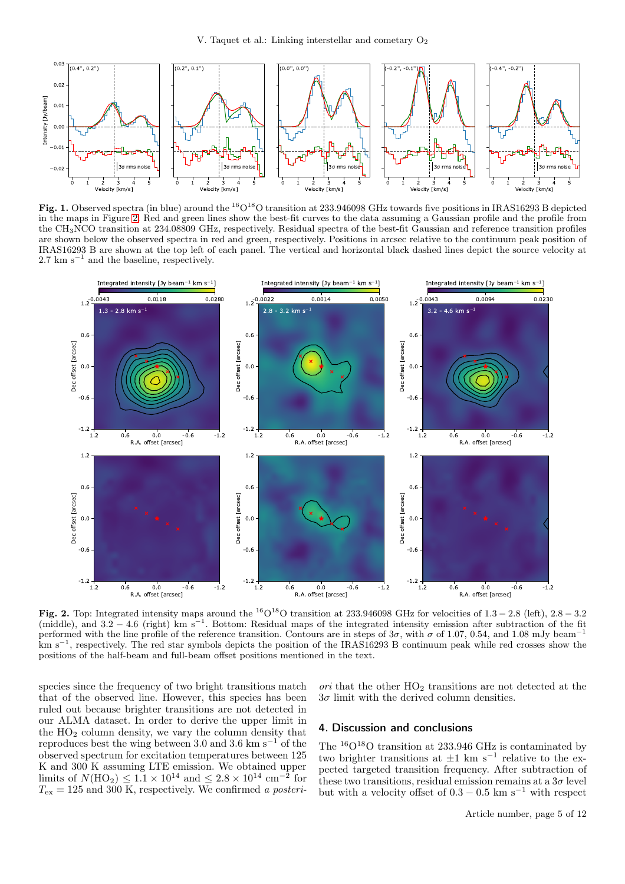

<span id="page-4-0"></span>Fig. 1. Observed spectra (in blue) around the <sup>16</sup>O<sup>18</sup>O transition at 233.946098 GHz towards five positions in IRAS16293 B depicted in the maps in Figure [2.](#page-4-1) Red and green lines show the best-fit curves to the data assuming a Gaussian profile and the profile from the CH3NCO transition at 234.08809 GHz, respectively. Residual spectra of the best-fit Gaussian and reference transition profiles are shown below the observed spectra in red and green, respectively. Positions in arcsec relative to the continuum peak position of IRAS16293 B are shown at the top left of each panel. The vertical and horizontal black dashed lines depict the source velocity at 2.7 km s<sup>-1</sup> and the baseline, respectively.



<span id="page-4-1"></span>Fig. 2. Top: Integrated intensity maps around the <sup>16</sup>O<sup>18</sup>O transition at 233.946098 GHz for velocities of  $1.3 - 2.8$  (left),  $2.8 - 3.2$ (middle), and 3.2 − 4.6 (right) km s<sup>−</sup><sup>1</sup> . Bottom: Residual maps of the integrated intensity emission after subtraction of the fit performed with the line profile of the reference transition. Contours are in steps of  $3\sigma$ , with  $\sigma$  of 1.07, 0.54, and 1.08 mJy beam<sup>-1</sup> km s<sup>-1</sup>, respectively. The red star symbols depicts the position of the IRAS16293 B continuum peak while red crosses show the positions of the half-beam and full-beam offset positions mentioned in the text.

species since the frequency of two bright transitions match that of the observed line. However, this species has been ruled out because brighter transitions are not detected in our ALMA dataset. In order to derive the upper limit in the HO<sup>2</sup> column density, we vary the column density that reproduces best the wing between 3.0 and 3.6 km s<sup> $-1$ </sup> of the observed spectrum for excitation temperatures between 125 K and 300 K assuming LTE emission. We obtained upper limits of  $N(\text{HO}_2) \leq 1.1 \times 10^{14}$  and  $\leq 2.8 \times 10^{14}$  cm<sup>-2</sup> for  $T_{\text{ex}} = 125$  and 300 K, respectively. We confirmed a posteriori that the other  $HO<sub>2</sub>$  transitions are not detected at the  $3\sigma$  limit with the derived column densities.

### 4. Discussion and conclusions

The  $\rm ^{16}O^{18}O$  transition at 233.946 GHz is contaminated by two brighter transitions at  $\pm 1$  km s<sup>-1</sup> relative to the expected targeted transition frequency. After subtraction of these two transitions, residual emission remains at a  $3\sigma$  level but with a velocity offset of  $0.3 - 0.5$  km s<sup>-1</sup> with respect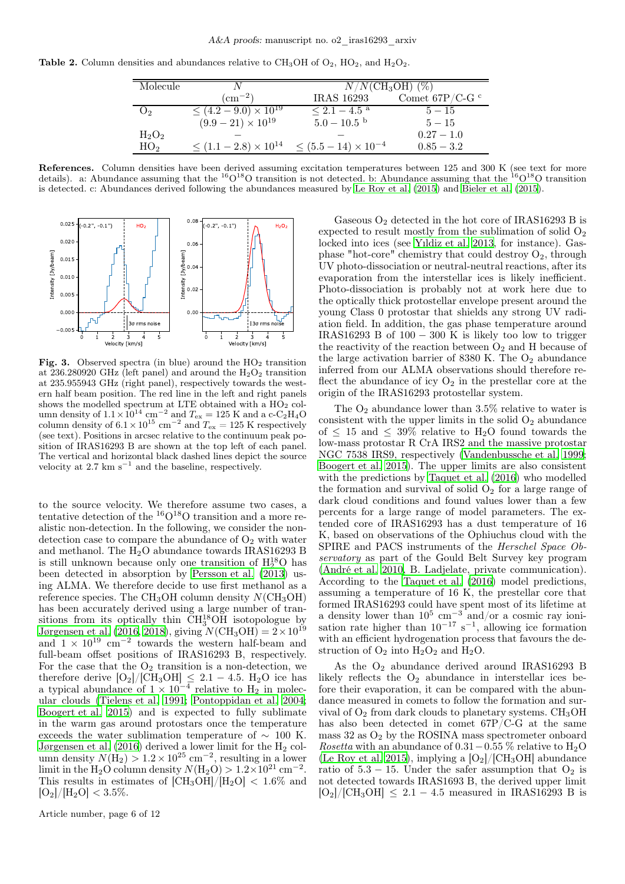<span id="page-5-1"></span>

| <b>Table 2.</b> Column densities and abundances relative to CH <sub>3</sub> OH of $O_2$ , HO <sub>2</sub> , and H <sub>2</sub> O <sub>2</sub> . |  |  |  |
|-------------------------------------------------------------------------------------------------------------------------------------------------|--|--|--|
|-------------------------------------------------------------------------------------------------------------------------------------------------|--|--|--|

| Molecule        |                                              | $N/N(\text{CH}_3\text{OH})$ (%) |                              |  |
|-----------------|----------------------------------------------|---------------------------------|------------------------------|--|
|                 | $\rm (cm^{-2})$                              | <b>IRAS</b> 16293               | Comet $67P/C-G$ <sup>c</sup> |  |
| O <sub>2</sub>  | $\leq (4.2 - 9.0) \times 10^{19}$            | $\leq 2.1 - 4.5$ <sup>a</sup>   | $5 - 15$                     |  |
|                 | $(9.9-21)\times10^{19}$                      | $5.0-10.5$ b                    | $5 - 15$                     |  |
| $H_2O_2$        |                                              |                                 | $0.27 - 1.0$                 |  |
| HO <sub>2</sub> | $\leq$ (1.1 – 2.8) $\times$ 10 <sup>14</sup> | $\leq (5.5-14) \times 10^{-4}$  | $0.85 - 3.2$                 |  |

References. Column densities have been derived assuming excitation temperatures between 125 and 300 K (see text for more details). a: Abundance assuming that the  ${}^{16}O_{18}O$  transition is not detected. b: Abundance assuming that the  ${}^{16}O_{18}O$  transition is detected. c: Abundances derived following the abundances measured by [Le Roy et al. \(2015](#page-6-48)) and [Bieler et al. \(2015](#page-6-0)).



<span id="page-5-0"></span>Fig. 3. Observed spectra (in blue) around the  $HO<sub>2</sub>$  transition at 236.280920 GHz (left panel) and around the  $H_2O_2$  transition at 235.955943 GHz (right panel), respectively towards the western half beam position. The red line in the left and right panels shows the modelled spectrum at LTE obtained with a  $H\overline{O}_2$  column density of  $1.1 \times 10^{14}$  cm<sup>-2</sup> and  $T_{ex} = 125$  K and a c-C<sub>2</sub>H<sub>4</sub>O column density of  $6.1 \times 10^{15}$  cm<sup>-2</sup> and  $T_{ex} = 125$  K respectively (see text). Positions in arcsec relative to the continuum peak position of IRAS16293 B are shown at the top left of each panel. The vertical and horizontal black dashed lines depict the source velocity at  $2.7 \text{ km s}^{-1}$  and the baseline, respectively.

to the source velocity. We therefore assume two cases, a tentative detection of the  ${}^{16}O_{18}O$  transition and a more realistic non-detection. In the following, we consider the nondetection case to compare the abundance of  $O_2$  with water and methanol. The  $H_2O$  abundance towards IRAS16293 B is still unknown because only one transition of  $H_2^{18}O$  has been detected in absorption by [Persson et al. \(2013\)](#page-6-49) using ALMA. We therefore decide to use first methanol as a reference species. The  $CH<sub>3</sub>OH$  column density  $N(CH<sub>3</sub>OH)$ has been accurately derived using a large number of transitions from its optically thin  $CH_3^{18}OH$  isotopologue by [Jørgensen et al. \(2016,](#page-6-15) [2018\)](#page-6-28), giving  $N(\text{CH}_3\text{OH}) = 2 \times 10^{19}$ and  $1 \times 10^{19}$  cm<sup>-2</sup> towards the western half-beam and full-beam offset positions of IRAS16293 B, respectively. For the case that the  $O_2$  transition is a non-detection, we therefore derive  $[O_2]/[CH_3OH] \leq 2.1 - 4.5$ . H<sub>2</sub>O ice has a typical abundance of  $1 \times 10^{-4}$  relative to H<sub>2</sub> in molecular clouds [\(Tielens et al. 1991;](#page-6-50) [Pontoppidan et al. 2004](#page-6-51); [Boogert et al. 2015\)](#page-6-52) and is expected to fully sublimate in the warm gas around protostars once the temperature exceeds the water sublimation temperature of  $\sim 100$  K. Jørgensen et al.  $(2016)$  derived a lower limit for the  $H_2$  column density  $N(\hat{H}_2) > 1.2 \times 10^{25}$  cm<sup>-2</sup>, resulting in a lower limit in the H<sub>2</sub>O column density  $N(\text{H}_2\text{O}) > 1.2 \times 10^{21} \text{ cm}^{-2}$ . This results in estimates of  $\text{[CH}_3\text{OH}]/\text{[H}_2\text{O}$  < 1.6% and  $[O_2]/[H_2O] < 3.5\%.$ 

Article number, page 6 of 12

Gaseous  $O_2$  detected in the hot core of IRAS16293 B is expected to result mostly from the sublimation of solid  $O_2$ locked into ices (see [Yıldiz et al. 2013,](#page-6-12) for instance). Gasphase "hot-core" chemistry that could destroy  $O_2$ , through UV photo-dissociation or neutral-neutral reactions, after its evaporation from the interstellar ices is likely inefficient. Photo-dissociation is probably not at work here due to the optically thick protostellar envelope present around the young Class 0 protostar that shields any strong UV radiation field. In addition, the gas phase temperature around IRAS16293 B of  $100 - 300$  K is likely too low to trigger the reactivity of the reaction between  $O_2$  and H because of the large activation barrier of 8380 K. The  $O_2$  abundance inferred from our ALMA observations should therefore reflect the abundance of icy  $O_2$  in the prestellar core at the origin of the IRAS16293 protostellar system.

The  $O_2$  abundance lower than 3.5% relative to water is consistent with the upper limits in the solid  $O_2$  abundance of  $\leq 15$  and  $\leq 39\%$  relative to H<sub>2</sub>O found towards the low-mass protostar R CrA IRS2 and the massive protostar NGC 7538 IRS9, respectively [\(Vandenbussche et al. 1999;](#page-6-53) [Boogert et al. 2015](#page-6-52)). The upper limits are also consistent with the predictions by [Taquet et al. \(2016](#page-6-4)) who modelled the formation and survival of solid  $O<sub>2</sub>$  for a large range of dark cloud conditions and found values lower than a few percents for a large range of model parameters. The extended core of IRAS16293 has a dust temperature of 16 K, based on observations of the Ophiuchus cloud with the SPIRE and PACS instruments of the Herschel Space Observatory as part of the Gould Belt Survey key program [\(André et al. 2010,](#page-6-13) B. Ladjelate, private communication). According to the [Taquet et al. \(2016\)](#page-6-4) model predictions, assuming a temperature of  $16 \text{ K}$ , the prestellar core that formed IRAS16293 could have spent most of its lifetime at a density lower than  $10^5 \text{ cm}^{-3}$  and/or a cosmic ray ionisation rate higher than  $10^{-17}$  s<sup>-1</sup>, allowing ice formation with an efficient hydrogenation process that favours the destruction of  $O_2$  into  $H_2O_2$  and  $H_2O$ .

As the  $O_2$  abundance derived around IRAS16293 B likely reflects the  $O_2$  abundance in interstellar ices before their evaporation, it can be compared with the abundance measured in comets to follow the formation and survival of  $O_2$  from dark clouds to planetary systems. CH<sub>3</sub>OH has also been detected in comet 67P/C-G at the same mass  $32$  as  $O<sub>2</sub>$  by the ROSINA mass spectrometer onboard Rosetta with an abundance of  $0.31-0.55\%$  relative to H<sub>2</sub>O [\(Le Roy et al. 2015](#page-6-48)), implying a  $[O_2]/[CH_3OH]$  abundance ratio of  $5.3 - 15$ . Under the safer assumption that  $O_2$  is not detected towards IRAS1693 B, the derived upper limit  $[O_2]/[CH_3OH] \leq 2.1 - 4.5$  measured in IRAS16293 B is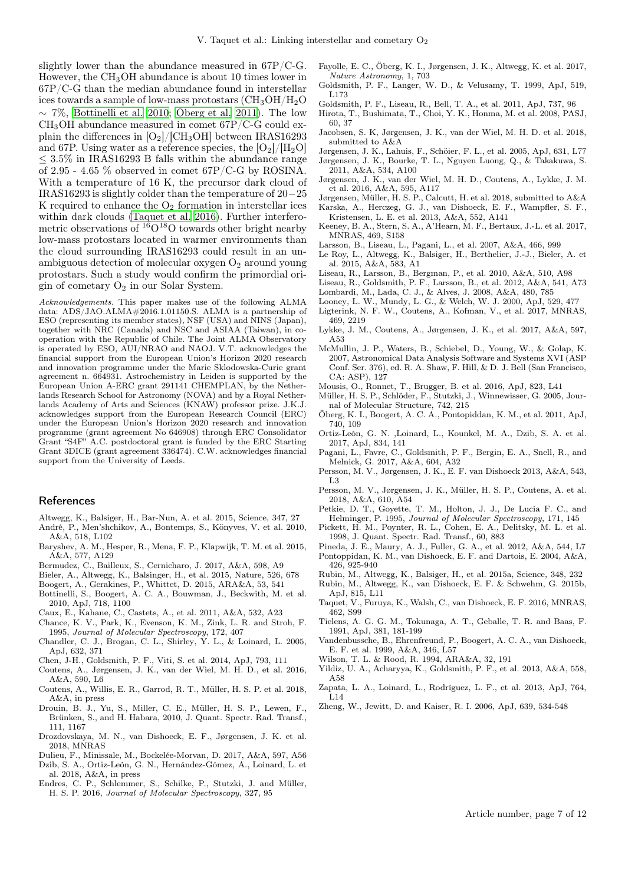slightly lower than the abundance measured in 67P/C-G. However, the CH<sub>3</sub>OH abundance is about 10 times lower in 67P/C-G than the median abundance found in interstellar ices towards a sample of low-mass protostars  $\rm (CH_3OH/H_2O)$  $\sim$  7%, [Bottinelli et al. 2010;](#page-6-54) [Öberg et al. 2011\)](#page-6-55). The low  $CH<sub>3</sub>OH$  abundance measured in comet 67P/C-G could explain the differences in  $[O_2]/[CH_3OH]$  between IRAS16293 and 67P. Using water as a reference species, the  $\rm [O_2]/[H_2O]$  $\leq$  3.5% in IRAS16293 B falls within the abundance range of 2.95 - 4.65 % observed in comet 67P/C-G by ROSINA. With a temperature of 16 K, the precursor dark cloud of IRAS16293 is slightly colder than the temperature of 20−25 K required to enhance the  $O_2$  formation in interstellar ices within dark clouds [\(Taquet et al. 2016\)](#page-6-4). Further interferometric observations of  $160^{18}$ O towards other bright nearby low-mass protostars located in warmer environments than the cloud surrounding IRAS16293 could result in an unambiguous detection of molecular oxygen  $O<sub>2</sub>$  around young protostars. Such a study would confirm the primordial origin of cometary  $O_2$  in our Solar System.

Acknowledgements. This paper makes use of the following ALMA data: ADS/JAO.ALMA#2016.1.01150.S. ALMA is a partnership of ESO (representing its member states), NSF (USA) and NINS (Japan), together with NRC (Canada) and NSC and ASIAA (Taiwan), in cooperation with the Republic of Chile. The Joint ALMA Observatory is operated by ESO, AUI/NRAO and NAOJ. V.T. acknowledges the financial support from the European Union's Horizon 2020 research and innovation programme under the Marie Sklodowska-Curie grant agreement n. 664931. Astrochemistry in Leiden is supported by the European Union A-ERC grant 291141 CHEMPLAN, by the Netherlands Research School for Astronomy (NOVA) and by a Royal Netherlands Academy of Arts and Sciences (KNAW) professor prize. J.K.J. acknowledges support from the European Research Council (ERC) under the European Union's Horizon 2020 research and innovation programme (grant agreement No 646908) through ERC Consolidator Grant "S4F" A.C. postdoctoral grant is funded by the ERC Starting Grant 3DICE (grant agreement 336474). C.W. acknowledges financial support from the University of Leeds.

#### References

- Altwegg, K., Balsiger, H., Bar-Nun, A. et al. 2015, Science, 347, 27
- <span id="page-6-13"></span>André, P., Men'shchikov, A., Bontemps, S., Könyves, V. et al. 2010, A&A, 518, L102
- <span id="page-6-14"></span>Baryshev, A. M., Hesper, R., Mena, F. P., Klapwijk, T. M. et al. 2015, A&A, 577, A129
- <span id="page-6-45"></span>Bermudez, C., Bailleux, S., Cernicharo, J. 2017, A&A, 598, A9
- <span id="page-6-0"></span>Bieler, A., Altwegg, K., Balsinger, H., et al. 2015, Nature, 526, 678
- <span id="page-6-52"></span>Boogert, A., Gerakines, P., Whittet, D. 2015, ARA&A, 53, 541
- <span id="page-6-54"></span>Bottinelli, S., Boogert, A. C. A., Bouwman, J., Beckwith, M. et al. 2010, ApJ, 718, 1100
- <span id="page-6-26"></span>Caux, E., Kahane, C., Castets, A., et al. 2011, A&A, 532, A23
- <span id="page-6-38"></span>Chance, K. V., Park, K., Evenson, K. M., Zink, L. R. and Stroh, F. 1995, Journal of Molecular Spectroscopy, 172, 407
- <span id="page-6-23"></span>Chandler, C. J., Brogan, C. L., Shirley, Y. L., & Loinard, L. 2005, ApJ, 632, 371
- <span id="page-6-9"></span>Chen, J-H., Goldsmith, P. F., Viti, S. et al. 2014, ApJ, 793, 111
- <span id="page-6-29"></span>Coutens, A., Jørgensen, J. K., van der Wiel, M. H. D., et al. 2016, A&A, 590, L6
- <span id="page-6-30"></span>Coutens, A., Willis, E. R., Garrod, R. T., Müller, H. S. P. et al. 2018, A&A, in press
- <span id="page-6-37"></span>Drouin, B. J., Yu, S., Miller, C. E., Müller, H. S. P., Lewen, F., Brünken, S., and H. Habara, 2010, J. Quant. Spectr. Rad. Transf., 111, 1167
- <span id="page-6-35"></span>Drozdovskaya, M. N., van Dishoeck, E. F., Jørgensen, J. K. et al. 2018, MNRAS
- <span id="page-6-7"></span>Dulieu, F., Minissale, M., Bockelée-Morvan, D. 2017, A&A, 597, A56
- <span id="page-6-21"></span>Dzib, S. A., Ortiz-León, G. N., Hernández-Gómez, A., Loinard, L. et al. 2018, A&A, in press
- <span id="page-6-43"></span>Endres, C. P., Schlemmer, S., Schilke, P., Stutzki, J. and Müller, H. S. P. 2016, Journal of Molecular Spectroscopy, 327, 95
- <span id="page-6-40"></span>Fayolle, E. C., Öberg, K. I., Jørgensen, J. K., Altwegg, K. et al. 2017, Nature Astronomy, 1, 703
- <span id="page-6-41"></span>Goldsmith, P. F., Langer, W. D., & Velusamy, T. 1999, ApJ, 519, L173
- <span id="page-6-8"></span>Goldsmith, P. F., Liseau, R., Bell, T. A., et al. 2011, ApJ, 737, 96
- <span id="page-6-16"></span>Hirota, T., Bushimata, T., Choi, Y. K., Honma, M. et al. 2008, PASJ, 60, 37
- <span id="page-6-33"></span>Jacobsen, S. K, Jørgensen, J. K., van der Wiel, M. H. D. et al. 2018, submitted to A&A
- <span id="page-6-18"></span>Jørgensen, J. K., Lahuis, F., Schöier, F. L., et al. 2005, ApJ, 631, L77
- <span id="page-6-27"></span>Jørgensen, J. K., Bourke, T. L., Nguyen Luong, Q., & Takakuwa, S. 2011, A&A, 534, A100
- <span id="page-6-15"></span>Jørgensen, J. K., van der Wiel, M. H. D., Coutens, A., Lykke, J. M. et al. 2016, A&A, 595, A117
- <span id="page-6-28"></span><span id="page-6-19"></span>Jørgensen, Müller, H. S. P., Calcutt, H. et al. 2018, submitted to A&A Karska, A., Herczeg, G. J., van Dishoeck, E. F., Wampfler, S. F.,
- <span id="page-6-1"></span>Kristensen, L. E. et al. 2013, A&A, 552, A141 Keeney, B. A., Stern, S. A., A'Hearn, M. F., Bertaux, J.-L. et al. 2017, MNRAS, 469, S158
- <span id="page-6-10"></span>Larsson, B., Liseau, L., Pagani, L., et al. 2007, A&A, 466, 999
- <span id="page-6-48"></span>Le Roy, L., Altwegg, K., Balsiger, H., Berthelier, J.-J., Bieler, A. et al. 2015, A&A, 583, A1
- Liseau, R., Larsson, B., Bergman, P., et al. 2010, A&A, 510, A98
- <span id="page-6-11"></span>Liseau, R., Goldsmith, P. F., Larsson, B., et al. 2012, A&A, 541, A73
- <span id="page-6-20"></span>Lombardi, M., Lada, C. J., & Alves, J. 2008, A&A, 480, 785
- <span id="page-6-32"></span><span id="page-6-22"></span>Looney, L. W., Mundy, L. G., & Welch, W. J. 2000, ApJ, 529, 477 Ligterink, N. F. W., Coutens, A., Kofman, V., et al. 2017, MNRAS, 469, 2219
- <span id="page-6-31"></span>Lykke, J. M., Coutens, A., Jørgensen, J. K., et al. 2017, A&A, 597, A53
- <span id="page-6-36"></span>McMullin, J. P., Waters, B., Schiebel, D., Young, W., & Golap, K. 2007, Astronomical Data Analysis Software and Systems XVI (ASP Conf. Ser. 376), ed. R. A. Shaw, F. Hill, & D. J. Bell (San Francisco, CA: ASP), 127
- <span id="page-6-5"></span>Mousis, O., Ronnet, T., Brugger, B. et al. 2016, ApJ, 823, L41
- <span id="page-6-42"></span>Müller, H. S. P., Schlöder, F., Stutzki, J., Winnewisser, G. 2005, Journal of Molecular Structure, 742, 215
- <span id="page-6-55"></span>Öberg, K. I., Boogert, A. C. A., Pontopiddan, K. M., et al. 2011, ApJ, 740, 109
- <span id="page-6-17"></span>Ortiz-León, G. N. ,Loinard, L., Kounkel, M. A., Dzib, S. A. et al. 2017, ApJ, 834, 141
- <span id="page-6-46"></span>Pagani, L., Favre, C., Goldsmith, P. F., Bergin, E. A., Snell, R., and Melnick, G. 2017, A&A, 604, A32
- <span id="page-6-49"></span>Persson, M. V., Jørgensen, J. K., E. F. van Dishoeck 2013, A&A, 543, L3
- <span id="page-6-34"></span>Persson, M. V., Jørgensen, J. K., Müller, H. S. P., Coutens, A. et al. 2018, A&A, 610, A54
- <span id="page-6-39"></span>Petkie, D. T., Goyette, T. M., Holton, J. J., De Lucia F. C., and Helminger, P. 1995, Journal of Molecular Spectroscopy, 171, 145
- <span id="page-6-44"></span>Pickett, H. M., Poynter, R. L., Cohen, E. A., Delitsky, M. L. et al. 1998, J. Quant. Spectr. Rad. Transf., 60, 883
- <span id="page-6-51"></span><span id="page-6-24"></span>Pineda, J. E., Maury, A. J., Fuller, G. A., et al. 2012, A&A, 544, L7 Pontoppidan, K. M., van Dishoeck, E. F. and Dartois, E. 2004, A&A, 426, 925-940
- <span id="page-6-3"></span>Rubin, M., Altwegg, K., Balsiger, H., et al. 2015a, Science, 348, 232
- <span id="page-6-2"></span>Rubin, M., Altwegg, K., van Dishoeck, E. F. & Schwehm, G. 2015b, ApJ, 815, L11
- <span id="page-6-4"></span>Taquet, V., Furuya, K., Walsh, C., van Dishoeck, E. F. 2016, MNRAS, 462, S99
- <span id="page-6-50"></span>Tielens, A. G. G. M., Tokunaga, A. T., Geballe, T. R. and Baas, F. 1991, ApJ, 381, 181-199
- <span id="page-6-53"></span>Vandenbussche, B., Ehrenfreund, P., Boogert, A. C. A., van Dishoeck, E. F. et al. 1999, A&A, 346, L57
- <span id="page-6-47"></span>Wilson, T. L. & Rood, R. 1994, ARA&A, 32, 191
- <span id="page-6-12"></span>Yildiz, U. A., Acharyya, K., Goldsmith, P. F., et al. 2013, A&A, 558, A58
- <span id="page-6-25"></span>Zapata, L. A., Loinard, L., Rodríguez, L. F., et al. 2013, ApJ, 764,  $L14$
- <span id="page-6-6"></span>Zheng, W., Jewitt, D. and Kaiser, R. I. 2006, ApJ, 639, 534-548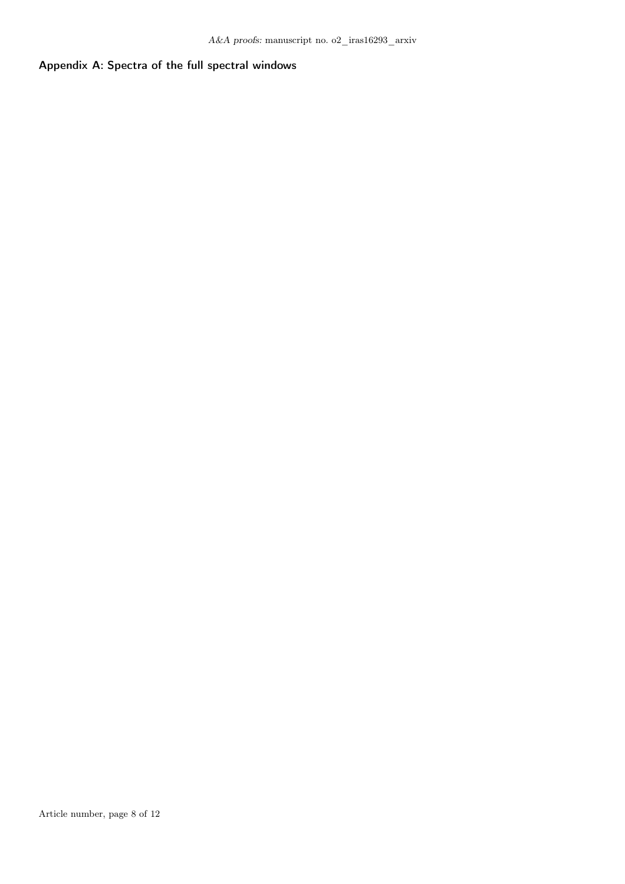## Appendix A: Spectra of the full spectral windows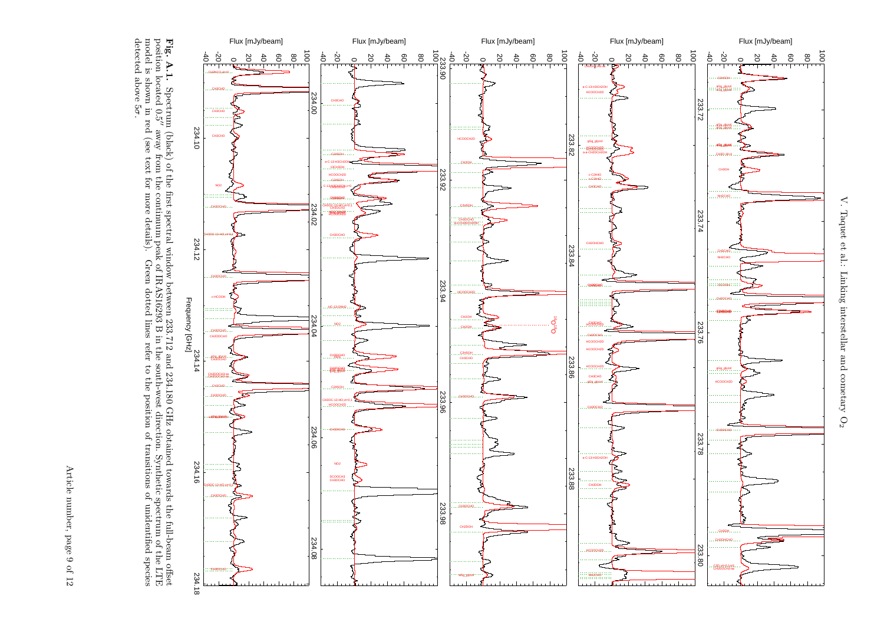<span id="page-8-1"></span><span id="page-8-0"></span>detected above 5σ

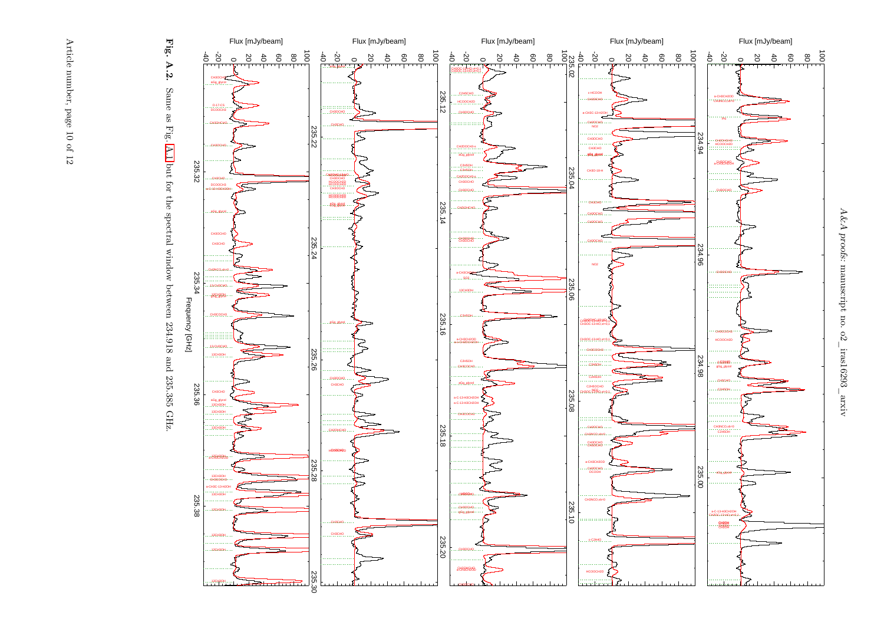

Fig. A.2. Same as Fig. A.1 but for the spectral window between 234.918 and 235.385 GHz. Same as Fig. [A.1](#page-8-1) but for the spectral window between 234.918 and 235.385 GHz.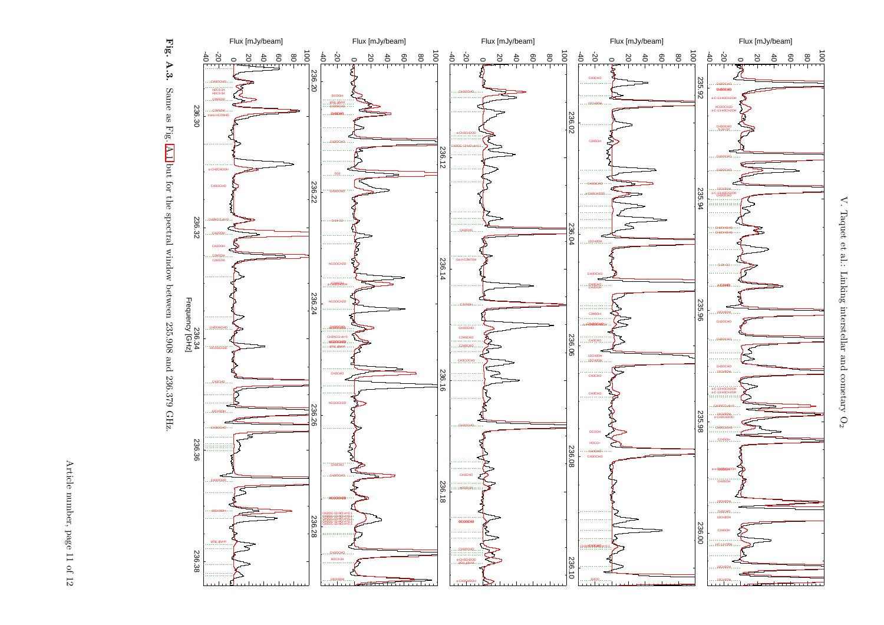



 $\mathbf{V}.$  Taquet et al.: Linking V. Taquet et al.: Linking interstellar and cometary Ointerstellar and cometary  $\mathrm{O}_2$